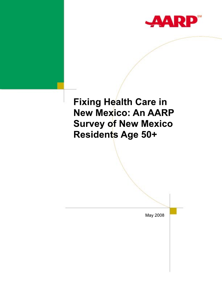

# **Fixing Health Care in New Mexico: An AARP Survey of New Mexico Residents Age 50+**

May 2008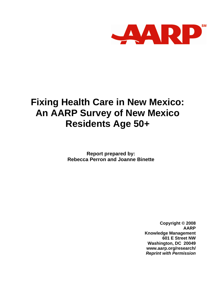

# **Fixing Health Care in New Mexico: An AARP Survey of New Mexico Residents Age 50+**

**Report prepared by: Rebecca Perron and Joanne Binette** 

> **Copyright © 2008 AARP Knowledge Management 601 E Street NW Washington, DC 20049 www.aarp.org/research/**  *Reprint with Permission*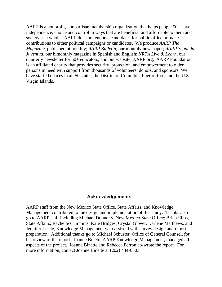AARP is a nonprofit, nonpartisan membership organization that helps people 50+ have independence, choice and control in ways that are beneficial and affordable to them and society as a whole. AARP does not endorse candidates for public office or make contributions to either political campaigns or candidates. We produce *AARP The Magazine*, published bimonthly; *AARP Bulletin*, our monthly newspaper; *AARP Segunda Juventud*, our bimonthly magazine in Spanish and English; *NRTA Live & Learn*, our quarterly newsletter for 50+ educators; and our website, AARP.org. AARP Foundation is an affiliated charity that provides security, protection, and empowerment to older persons in need with support from thousands of volunteers, donors, and sponsors. We have staffed offices in all 50 states, the District of Columbia, Puerto Rico, and the U.S. Virgin Islands.

#### **Acknowledgements**

AARP staff from the New Mexico State Office, State Affairs, and Knowledge Management contributed to the design and implementation of this study. Thanks also go to AARP staff including Michael Donnelly, New Mexico State Office; Brian Elms, State Affairs; Rachelle Cummins, Kate Bridges, Crystal Glover, Darlene Matthews, and Jennifer Leslie, Knowledge Management who assisted with survey design and report preparation. Additional thanks go to Michael Schuster, Office of General Counsel, for his review of the report. Joanne Binette AARP Knowledge Management, managed all aspects of the project. Joanne Binette and Rebecca Perron co-wrote the report. For more information, contact Joanne Binette at (202) 434-6303.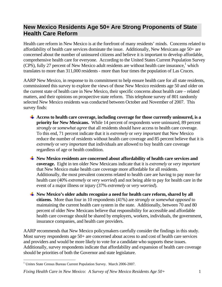# **New Mexico Residents Age 50+ Are Strong Proponents of State Health Care Reform**

Health care reform in New Mexico is at the forefront of many residents' minds. Concerns related to affordability of health care services dominate the issue. Additionally, New Mexicans age 50+ are concerned about the number of uninsured citizens and believe it is important to develop affordable, comprehensive health care for everyone. According to the United States Current Population Survey  $(CPS)$ , fully 27 percent of New Mexico adult residents are without health care insurance,<sup>1</sup> which translates to more than 311,000 residents - more than four times the population of Las Cruces.

AARP New Mexico, in response to its commitment to help ensure health care for all state residents, commissioned this survey to explore the views of those New Mexico residents age 50 and older on the current state of health care in New Mexico, their specific concerns about health care – related matters, and their opinions on prospective state reform. This telephone survey of 801 randomly selected New Mexico residents was conducted between October and November of 2007. This survey finds:

- Access to health care coverage, including coverage for those currently uninsured, is a **priority for New Mexicans.** While 14 percent of respondents were uninsured, 89 percent *strongly* or *somewhat agree* that all residents should have access to health care coverage. To this end, 71 percent indicate that it is *extremely* or *very important* that New Mexico reduce the number of residents without health care coverage and 85 percent believe that it is *extremely* or *very important* that individuals are allowed to buy health care coverage regardless of age or health condition.
- **New Mexico residents are concerned about affordability of health care services and coverage.** Eight in ten older New Mexicans indicate that it is *extremely* or *very important* that New Mexico make health care coverage more affordable for all residents. Additionally, the most prevalent concerns related to health care are having to pay more for health care (40% *extremely* or *very worried*) and not being able to pay for health care in the event of a major illness or injury (37% *extremely* or *very worried*).
- **New Mexico's older adults recognize a need for health care reform, shared by all citizens.** More than four in 10 respondents (41%) are *strongly* or *somewhat opposed* to maintaining the current health care system in the state. Additionally, between 70 and 80 percent of older New Mexicans believe that responsibility for accessible and affordable health care coverage should be shared by employers, workers, individuals, the government, insurance companies, and health care providers.

AARP recommends that New Mexico policymakers carefully consider the findings in this study. Most survey respondents age 50+ are concerned about access to and cost of health care services and providers and would be more likely to vote for a candidate who supports these issues. Additionally, survey respondents indicate that affordability and expansion of health care coverage should be priorities of both the Governor and state legislature.

*Fixing Health Care in New Mexico: A Survey of New Mexico Residents Age 50+* 1

 1 Unites State Census Bureau Current Population Survey. March 2006-2007.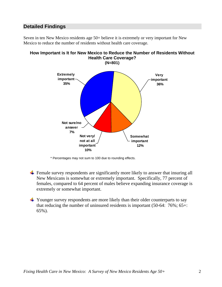# **Detailed Findings**

Seven in ten New Mexico residents age 50+ believe it is extremely or very important for New Mexico to reduce the number of residents without health care coverage.



# **How Important is It for New Mexico to Reduce the Number of Residents Without Health Care Coverage?**

\* Percentages may not sum to 100 due to rounding effects.

- $\frac{1}{\sqrt{2}}$  Female survey respondents are significantly more likely to answer that insuring all New Mexicans is somewhat or extremely important. Specifically, 77 percent of females, compared to 64 percent of males believe expanding insurance coverage is extremely or somewhat important.
- $\div$  Younger survey respondents are more likely than their older counterparts to say that reducing the number of uninsured residents is important (50-64: 76%; 65+: 65%).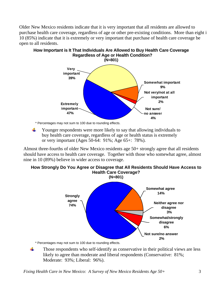Older New Mexico residents indicate that it is very important that all residents are allowed to purchase health care coverage, regardless of age or other pre-existing conditions. More than eight i 10 (85%) indicate that it is extremely or very important that purchase of health care coverage be open to all residents.



**How Important is It That Individuals Are Allowed to Buy Health Care Coverage Regardless of Age or Health Condition?** 

\* Percentages may not sum to 100 due to rounding effects.

 $\frac{1}{2}$ Younger respondents were more likely to say that allowing individuals to buy health care coverage, regardless of age or health status is extremely or very important (Ages 50-64: 91%; Age 65+: 78%).

Almost three-fourths of older New Mexico residents age 50+ strongly agree that all residents should have access to health care coverage. Together with those who somewhat agree, almost nine in 10 (89%) believe in wider access to coverage.

## **How Strongly Do You Agree or Disagree that All Residents Should Have Access to Health Care Coverage? (N=801) Neither agree nor disagree 3% Somewhat agree 14% Strongly agree 74% Somewhat/strongly disagree 6%**

\* Percentages may not sum to 100 due to rounding effects.

÷ Those respondents who self-identify as conservative in their political views are less likely to agree than moderate and liberal respondents (Conservative: 81%; Moderate: 93%; Liberal: 96%).

**Not sure/no answer 2%**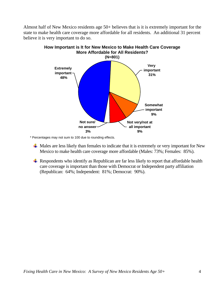Almost half of New Mexico residents age 50+ believes that is it is extremely important for the state to make health care coverage more affordable for all residents. An additional 31 percent believe it is very important to do so.



\* Percentages may not sum to 100 due to rounding effects.

- $\perp$  Males are less likely than females to indicate that it is extremely or very important for New Mexico to make health care coverage more affordable (Males: 73%; Females: 85%).
- $\overline{\text{H}}$  Respondents who identify as Republican are far less likely to report that affordable health care coverage is important than those with Democrat or Independent party affiliation (Republican: 64%; Independent: 81%; Democrat: 90%).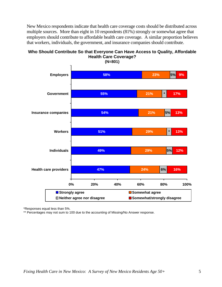New Mexico respondents indicate that health care coverage costs should be distributed across multiple sources. More than eight in 10 respondents (81%) strongly or somewhat agree that employers should contribute to affordable health care coverage. A similar proportion believes that workers, individuals, the government, and insurance companies should contribute.

# **Who Should Contribute So that Everyone Can Have Access to Quality, Affordable Health Care Coverage?**



\*Responses equal less than 5%.

\*\* Percentages may not sum to 100 due to the accounting of Missing/No Answer response.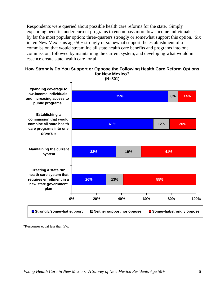Respondents were queried about possible health care reforms for the state. Simply expanding benefits under current programs to encompass more low-income individuals is by far the most popular option; three-quarters strongly or somewhat support this option. Six in ten New Mexicans age 50+ strongly or somewhat support the establishment of a commission that would streamline all state health care benefits and programs into one commission, followed by maintaining the current system, and developing what would in essence create state health care for all.

#### **How Strongly Do You Support or Oppose the Following Health Care Reform Options for New Mexico?**



**(N=801)** 

\*Responses equal less than 5%.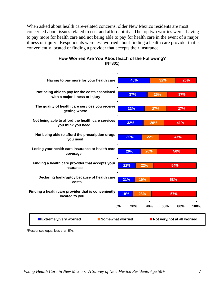When asked about health care-related concerns, older New Mexico residents are most concerned about issues related to cost and affordability. The top two worries were: having to pay more for health care and not being able to pay for health care in the event of a major illness or injury. Respondents were less worried about finding a health care provider that is conveniently located or finding a provider that accepts their insurance.



## **How Worried Are You About Each of the Following? (N=801)**

**\***Responses equal less than 5%.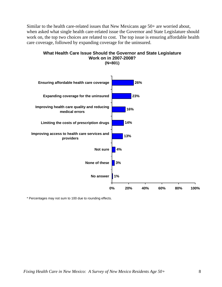Similar to the health care-related issues that New Mexicans age 50+ are worried about, when asked what single health care-related issue the Governor and State Legislature should work on, the top two choices are related to cost. The top issue is ensuring affordable health care coverage, followed by expanding coverage for the uninsured.



**What Health Care Issue Should the Governor and State Legislature Work on in 2007-2008?** 

*Fixing Health Care in New Mexico: A Survey of New Mexico Residents Age 50+* 8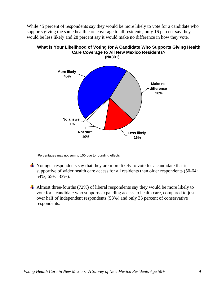While 45 percent of respondents say they would be more likely to vote for a candidate who supports giving the same health care coverage to all residents, only 16 percent say they would be less likely and 28 percent say it would make no difference in how they vote.



# **What is Your Likelihood of Voting for A Candidate Who Supports Giving Health Care Coverage to All New Mexico Residents?**

\*Percentages may not sum to 100 due to rounding effects.

- $\overline{\phantom{a}^+}$  Younger respondents say that they are more likely to vote for a candidate that is supportive of wider health care access for all residents than older respondents (50-64: 54%; 65+: 33%).
- Almost three-fourths  $(72%)$  of liberal respondents say they would be more likely to vote for a candidate who supports expanding access to health care, compared to just over half of independent respondents (53%) and only 33 percent of conservative respondents.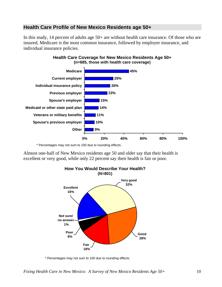# **Health Care Profile of New Mexico Residents age 50+**

In this study, 14 percent of adults age 50+ are without health care insurance. Of those who are insured, Medicare is the most common insurance, followed by employer insurance, and individual insurance policies.



## **Health Care Coverage for New Mexico Residents Age 50+ (n=685, those with health care coverage)**

\* Percentages may not sum to 100 due to rounding effects.

Almost one-half of New Mexico residents age 50 and older say that their health is excellent or very good, while only 22 percent say their health is fair or poor.



\* Percentages may not sum to 100 due to rounding effects.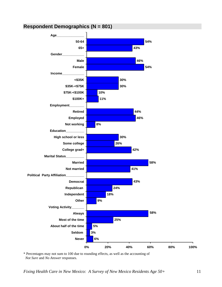# **Respondent Demographics (N = 801)**



\* Percentages may not sum to 100 due to rounding effects, as well as the accounting of  *Not Sure* and *No Answer* responses.

*Fixing Health Care in New Mexico: A Survey of New Mexico Residents Age 50+* 11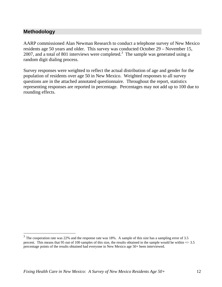# **Methodology**

 $\overline{a}$ 

AARP commissioned Alan Newman Research to conduct a telephone survey of New Mexico residents age 50 years and older. This survey was conducted October 29 – November 15, 2007, and a total of 801 interviews were completed.<sup>3</sup> The sample was generated using a random digit dialing process.

Survey responses were weighted to reflect the actual distribution of age and gender for the population of residents over age 50 in New Mexico. Weighted responses to all survey questions are in the attached annotated questionnaire. Throughout the report, statistics representing responses are reported in percentage. Percentages may not add up to 100 due to rounding effects.

 $3$  The cooperation rate was 22% and the response rate was 18%. A sample of this size has a sampling error of 3.5 percent. This means that 95 out of 100 samples of this size, the results obtained in the sample would be within +/- 3.5 percentage points of the results obtained had everyone in New Mexico age 50+ been interviewed.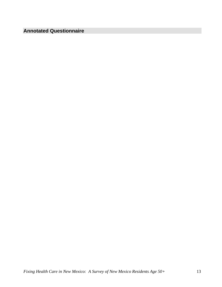# **Annotated Questionnaire**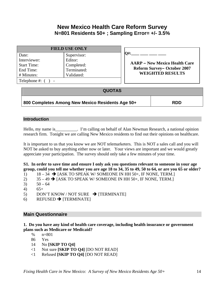# **New Mexico Health Care Reform Survey N=801 Residents 50+ ; Sampling Error= +/- 3.5%**

|                                               | <b>FIELD USE ONLY</b>                   |                                                                                               |
|-----------------------------------------------|-----------------------------------------|-----------------------------------------------------------------------------------------------|
| Date:<br>Interviewer:                         | Supervisor:<br>Editor:                  | O#:                                                                                           |
| <b>Start Time:</b><br>End Time:<br># Minutes: | Completed:<br>Terminated:<br>Validated: | <b>AARP – New Mexico Health Care</b><br>Reform Survey-October 2007<br><b>WEIGHTED RESULTS</b> |
| Telephone #: 0                                |                                         |                                                                                               |

## **QUOTAS**

# **800 Completes Among New Mexico Residents Age 50+ RDD**

## **Introduction**

Hello, my name is F m calling on behalf of Alan Newman Research, a national opinion research firm. Tonight we are calling New Mexico residents to find out their opinions on healthcare.

It is important to us that you know we are NOT telemarketers. This is NOT a sales call and you will NOT be asked to buy anything either now or later. Your views are important and we would greatly appreciate your participation. The survey should only take a few minutes of your time.

**S1. In order to save time and ensure I only ask you questions relevant to someone in your age group, could you tell me whether you are age 18 to 34, 35 to 49, 50 to 64, or are you 65 or older?** 

- 1)  $18 34$   $\rightarrow$  [ASK TO SPEAK W/SOMEONE IN HH 50+, IF NONE, TERM.]
- 2)  $35 49 \rightarrow$  [ASK TO SPEAK W/SOMEONE IN HH 50+, IF NONE, TERM.]
- 3)  $50 64$
- 4)  $65+$
- 5) DON'T KNOW / NOT SURE  $\rightarrow$  [TERMINATE]
- 6) REFUSED  $\rightarrow$  [TERMINATE]

## **Main Questionnaire**

**1. Do you have any kind of health care coverage, including health insurance or government plans such as Medicare or Medicaid?** 

- % n=801
- 86 Yes
- 14 No **[SKIP TO Q4]**
- <1 Not sure **[SKIP TO Q4]** [DO NOT READ]
- <1 Refused **[SKIP TO Q4]** [DO NOT READ]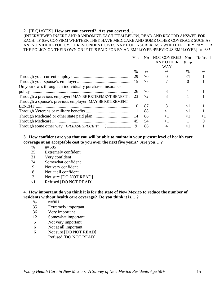#### **2.** [IF Q1=YES] **How are you covered? Are you covered….**

[INTERVIEWER INSERT AND RANDOMIZE EACH ITEM BELOW, READ AND RECORD ANSWER FOR EACH. IF 65+, CONFIRM WHETHER THEY HAVE MEDICARE AND SOME OTHER COVERAGE SUCH AS AN INDIVIDUAL POLICY. IF RESPONDENT GIVES NAME OF INSURER, ASK WHETHER THEY PAY FOR THE POLICY ON THEIR OWN OR IF IT IS PAID FOR BY AN EMPLOYER / PREVIOUS EMPLOYER] n=685

|                                                            | Yes | No   | <b>NOT COVERED</b><br><b>ANY OTHER</b> | <b>Not</b><br>Sure | Refused  |
|------------------------------------------------------------|-----|------|----------------------------------------|--------------------|----------|
|                                                            |     |      | WAY                                    |                    |          |
|                                                            | %   | $\%$ | $\frac{0}{0}$                          | $\%$               | $\%$     |
|                                                            |     | 70   | $\Omega$                               | $\leq$ 1           |          |
|                                                            |     | 77   |                                        | $\Omega$           |          |
| On your own, through an individually purchased insurance   |     |      |                                        |                    |          |
|                                                            |     | 70   |                                        |                    |          |
| Through a previous employer [MAY BE RETIREMENT BENEFIT] 23 |     | 72   |                                        |                    |          |
| Through a spouse's previous employer [MAY BE RETIREMENT]   |     |      |                                        |                    |          |
|                                                            |     | 87   |                                        | $\leq$ 1           |          |
|                                                            |     | 88   | $\leq$ 1                               | $\leq$ 1           |          |
|                                                            |     | 86   | $\leq$ 1                               | $\leq$ 1           | $\leq$ 1 |
|                                                            |     | 54   | $\leq$ 1                               |                    |          |
|                                                            |     | 86   | 4                                      | ${<}1$             |          |

#### **3. How confident are you that you will be able to maintain your present level of health care coverage at an acceptable cost to you over the next five years? Are you….?**

- % n=685
- 25 Extremely confident
- 31 Very confident
- 24 Somewhat confident
- 9 Not very confident
- 8 Not at all confident
- 3 Not sure [DO NOT READ]
- <1 Refused [DO NOT READ]

#### **4. How important do you think it is for the state of New Mexico to reduce the number of residents without health care coverage? Do you think it is….?**

- % n=801
- 35 Extremely important
- 36 Very important
- 12 Somewhat important
- 5 Not very important
- 6 Not at all important
- 6 Not sure [DO NOT READ]
- 1 Refused [DO NOT READ]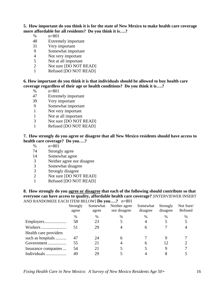## **5. How important do you think it is for the state of New Mexico to make health care coverage more affordable for all residents? Do you think it is….?**

- % n=801
- 48 Extremely important
- 31 Very important
- 9 Somewhat important
- 4 Not very important
- 5 Not at all important<br>2 Not sure IDO NOT l
- Not sure [DO NOT READ]
- 1 Refused [DO NOT READ]

### **6. How important do you think it is that individuals should be allowed to buy health care coverage regardless of their age or health conditions? Do you think it is….?**

- % n=801
- 47 Extremely important
- 39 Very important
- 9 Somewhat important
- 1 Not very important
- 1 Not at all important
- 3 Not sure [DO NOT READ]
- 1 Refused [DO NOT READ]

#### **7. How strongly do you agree or disagree that all New Mexico residents should have access to health care coverage? Do you….?**

- % n=801
- 74 Strongly agree
- 14 Somewhat agree
- 3 Neither agree nor disagree
- 3 Somewhat disagree
- 3 Strongly disagree
- 2 Not sure [DO NOT READ]
- 1 Refused [DO NOT READ]

**8. How strongly do you agree or disagree that each of the following should contribute so that everyone can have access to quality, affordable health care coverage?** [INTERVIEWER INSERT AND RANDOMIZE EACH ITEM BELOW] **Do you….?** n=801

|                       |                   |                   | $\frac{1}{2}$ = $\frac{1}{2}$ = $\frac{1}{2}$ = $\frac{1}{2}$ = $\frac{1}{2}$ $\frac{1}{2}$ = $\frac{1}{2}$ $\frac{1}{2}$ = $\frac{1}{2}$ = $\frac{1}{2}$ = $\frac{1}{2}$ |                      |                      |                      |
|-----------------------|-------------------|-------------------|---------------------------------------------------------------------------------------------------------------------------------------------------------------------------|----------------------|----------------------|----------------------|
|                       | Strongly<br>agree | Somewhat<br>agree | Neither agree<br>nor disagree                                                                                                                                             | Somewhat<br>disagree | Strongly<br>disagree | Not Sure/<br>Refused |
|                       | %                 | $\frac{0}{0}$     | $\%$                                                                                                                                                                      | $\%$                 | $\frac{0}{0}$        | %                    |
|                       | 58                | 23                |                                                                                                                                                                           |                      |                      |                      |
|                       | 51                | 29                | 4                                                                                                                                                                         | 6                    |                      |                      |
| Health care providers |                   |                   |                                                                                                                                                                           |                      |                      |                      |
| such as hospitals     | 47                | 24                | 6                                                                                                                                                                         |                      |                      |                      |
| Government            | 55                | 21                | 4                                                                                                                                                                         |                      | 12                   |                      |
| Insurance companies   | 54                | 21                |                                                                                                                                                                           |                      | Q                    |                      |
|                       | 49                | 29                |                                                                                                                                                                           |                      |                      |                      |
|                       |                   |                   |                                                                                                                                                                           |                      |                      |                      |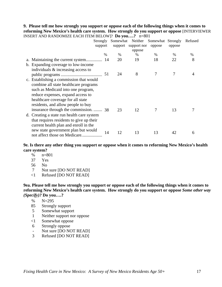#### **9. Please tell me how strongly you support or oppose each of the following things when it comes to reforming New Mexico's health care system. How strongly do you support or oppose** [INTERVIEWER INSERT AND RANDOMIZE EACH ITEM BELOW]? **Do you….?** n=801

| Strongly                                   |      | Somewhat | Neither     | Somewhat | Strongly | Refused |
|--------------------------------------------|------|----------|-------------|----------|----------|---------|
| support                                    |      | support  | support nor | oppose   | oppose   |         |
|                                            |      |          | oppose      |          |          |         |
|                                            | $\%$ | %        | %           | $\%$     | $\%$     | %       |
|                                            |      | 20       | 19          | 18       | 22       | 8       |
| b. Expanding coverage to low-income        |      |          |             |          |          |         |
| individuals $\&$ increasing access to      |      |          |             |          |          |         |
|                                            | 51   | 24       | 8           |          |          |         |
| c. Establishing a commission that would    |      |          |             |          |          |         |
| combine all state healthcare programs      |      |          |             |          |          |         |
| such as Medicaid into one program,         |      |          |             |          |          |         |
| reduce expenses, expand access to          |      |          |             |          |          |         |
| healthcare coverage for all state          |      |          |             |          |          |         |
| residents, and allow people to buy         |      |          |             |          |          |         |
| insurance through the commission.  38      |      | 23       | 12          |          | 13       |         |
| d. Creating a state run health care system |      |          |             |          |          |         |
| that requires residents to give up their   |      |          |             |          |          |         |
| current health plan and enroll in the      |      |          |             |          |          |         |
| new state government plan but would        |      |          |             |          |          |         |
| not affect those on Medicare               | 14   | 12       | 13          | 13       | 42       | 6       |

**9e. Is there any other thing you support or oppose when it comes to reforming New Mexico's health care system?** 

- % n=801
- 37 Yes
- 56 No
- 7 Not sure [DO NOT READ]
- <1 Refused [DO NOT READ]

**9ea. Please tell me how strongly you support or oppose each of the following things when it comes to reforming New Mexico's health care system. How strongly do you support or oppose** *Some other way (Specify)?* **Do you….?** 

- % N=295
- 85 Strongly support
- 5 Somewhat support
- 1 Neither support nor oppose
- <1 Somewhat oppose
- 6 Strongly oppose
- Not sure [DO NOT READ]
- 3 Refused [DO NOT READ]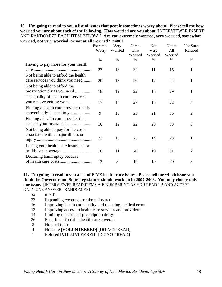#### **10. I'm going to read to you a list of issues that people sometimes worry about. Please tell me how worried you are about each of the following. How worried are you about** [INTERVIEWER INSERT AND RANDOMIZE EACH ITEM BELOW]? **Are you extremely worried, very worried, somewhat worried, not very worried, or not at all worried?** n=801

|                                        | Extreme<br>Worry | Very<br>Worried | Some-<br>what<br>Worried | <b>Not</b><br>Very<br>Worried | Not at<br>All<br>Worried | Not Sure/<br>Refused |
|----------------------------------------|------------------|-----------------|--------------------------|-------------------------------|--------------------------|----------------------|
|                                        | $\%$             | $\%$            | %                        | $\frac{0}{0}$                 | $\%$                     | %                    |
| Having to pay more for your health     |                  |                 |                          |                               |                          |                      |
|                                        | 23               | 18              | 32                       | 11                            | 15                       | 1                    |
| Not being able to afford the health    |                  |                 |                          |                               |                          |                      |
| care services you think you need       | 20               | 13              | 26                       | 17                            | 24                       | 1                    |
| Not being able to afford the           |                  |                 |                          |                               |                          |                      |
| prescription drugs you need            | 18               | 12              | 22                       | 18                            | 29                       | 1                    |
| The quality of health care services    |                  |                 |                          |                               |                          |                      |
|                                        | 17               | 16              | 27                       | 15                            | 22                       | 3                    |
| Finding a health care provider that is |                  |                 |                          |                               |                          |                      |
| conveniently located to you            | 9                | 10              | 23                       | 21                            | 35                       | $\overline{2}$       |
| Finding a health care provider that    |                  |                 |                          |                               |                          |                      |
|                                        | 10               | 12              | 22                       | 20                            | 33                       | 3                    |
| Not being able to pay for the costs    |                  |                 |                          |                               |                          |                      |
| associated with a major illness or     |                  |                 |                          |                               |                          |                      |
|                                        | 23               | 15              | 25                       | 14                            | 23                       | 1                    |
| Losing your health care insurance or   |                  |                 |                          |                               |                          |                      |
|                                        | 18               | 11              | 20                       | 19                            | 31                       | $\overline{2}$       |
| Declaring bankruptcy because           |                  |                 |                          |                               |                          |                      |
|                                        | 13               | 8               | 19                       | 19                            | 40                       | 3                    |

**11. I'm going to read to you a list of FIVE health care issues. Please tell me which issue you think the Governor and State Legislature should work on in 2007-2008. You may choose only one issue.** [INTERVIEWER READ ITEMS A-E NUMBERING AS YOU READ 1-5 AND ACCEPT ONLY ONE ANSWER. RANDOMIZE]

- % n=801
- 23 Expanding coverage for the uninsured
- 16 Improving health care quality and reducing medical errors
- 13 Improving access to health care services and providers
- 14 Limiting the costs of prescription drugs
- 26 Ensuring affordable health care coverage
- 3 None of these
- 4 Not sure **[VOLUNTEERED]** [DO NOT READ]
- 1 Refused **[VOLUNTEERED]** [DO NOT READ]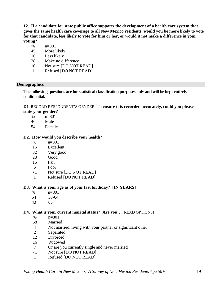**12. If a candidate for state public office supports the development of a health care system that gives the same health care coverage to all New Mexico residents, would you be more likely to vote for that candidate, less likely to vote for him or her, or would it not make a difference in your voting?** 

- % n=801
- 45 More likely
- 16 Less likely
- 28 Make no difference
- 10 Not sure [DO NOT READ]
- 1 Refused [DO NOT READ]

#### **Demographics**

**The following questions are for statistical classification purposes only and will be kept entirely confidential.** 

**D1**. RECORD RESPONDENT'S GENDER. **To ensure it is recorded accurately, could you please state your gender?** 

- % n=801
- 46 Male
- 54 Female

#### **D2. How would you describe your health?**

- % n=801
- 16 Excellent
- 32 Very good
- 28 Good
- 16 Fair
- 6 Poor
- <1 Not sure [DO NOT READ]
- 1 Refused [DO NOT READ]

#### D3. What is your age as of your last birthday? [IN YEARS]

- % n=801
- 54 50-64
- $43$   $65+$

## **D4. What is your current marital status? Are you…**.[READ OPTIONS]

- % n=801
- 58 Married
- 4 Not married, living with your partner or significant other
- 2 Separated
- 12 Divorced
- 16 Widowed
- 7 Or are you currently single and never married
- <1 Not sure [DO NOT READ]
- 1 Refused [DO NOT READ]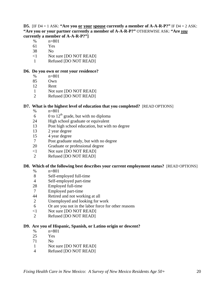**D5.** [IF D4 = 1 ASK: **"Are you or your spouse currently a member of A-A-R-P?"** IF D4 = 2 ASK: **"Are you or your partner currently a member of A-A-R-P?"** OTHERWISE ASK: **"Are** *you* **currently a member of A-A-R-P?"]** 

- % n=801
- 61 Yes
- 38 No
- <1 Not sure [DO NOT READ]
- 1 Refused [DO NOT READ]

## **D6. Do you own or rent your residence?**

- % n=801
- 85 Own
- 12 Rent
- 1 Not sure [DO NOT READ]
- 2 Refused [DO NOT READ]

## **D7. What is the highest level of education that you completed?** [READ OPTIONS]

- % n=801
- 6 0 to  $12<sup>th</sup>$  grade, but with no diploma
- 24 High school graduate or equivalent
- 13 Post high school education, but with no degree
- 13 2 year degree
- 15 4 year degree
- 7 Post graduate study, but with no degree
- 20 Graduate or professional degree
- <1 Not sure [DO NOT READ]
- 2 Refused [DO NOT READ]

## **D8. Which of the following best describes your current employment status?** [READ OPTIONS]

- % n=801
- 8 Self-employed full-time
- 4 Self-employed part-time
- 28 Employed full-time
- 7 Employed part-time
- 44 Retired and not working at all
- 2 Unemployed and looking for work
- 6 Or are you not in the labor force for other reasons
- <1 Not sure [DO NOT READ]
- 2 Refused [DO NOT READ]

## **D9. Are you of Hispanic, Spanish, or Latino origin or descent?**

- % n=801
- 25 Yes
- 71 No
- 1 Not sure [DO NOT READ]
- 4 Refused [DO NOT READ]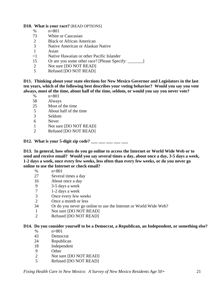#### **D10. What is your race?** [READ OPTIONS]

- % n=801
- 73 White or Caucasian
- 2 Black or African American
- 3 Native American or Alaskan Native
- 1 Asian
- <1 Native Hawaiian or other Pacific Islander
- 15 Or are you some other race? [Please Specify: \_\_\_\_\_\_\_]
- 2 Not sure [DO NOT READ]
- 5 Refused [DO NOT READ]

**D11. Thinking about your state elections for New Mexico Governor and Legislators in the last ten years, which of the following best describes your voting behavior? Would you say you vote always, most of the time, about half of the time, seldom, or would you say you never vote?** 

- % n=801
- 58 Always
- 25 Most of the time
- 5 About half of the time<br>3 Seldom
- 3 Seldom
- 6 Never
- 1 Not sure [DO NOT READ]
- 2 Refused [DO NOT READ]

**D12.** What is your 5-digit zip code? \_\_\_ \_\_ \_\_ \_\_ \_\_

**D13. In general, how often do you go online to access the Internet or World Wide Web or to send and receive email? Would you say several times a day, about once a day, 3-5 days a week, 1-2 days a week, once every few weeks, less often than every few weeks, or do you never go online to use the Internet or check email?** 

- $% \qquad n=801$
- 27 Several times a day
- 16 About once a day
- 9 3-5 days a week
- 7 1-2 days a week
- 3 Once every few weeks
- 2 Once a month or less
- 34 Or do you never go online to use the Internet or World Wide Web?
- 1 Not sure [DO NOT READ]
- 2 Refused [DO NOT READ]

#### **D14. Do you consider yourself to be a Democrat, a Republican, an Independent, or something else?**

- % n=801
- 43 Democrat
- 24 Republican
- 18 Independent
- 9 Other
- 2 Not sure [DO NOT READ]
- 5 Refused [DO NOT READ]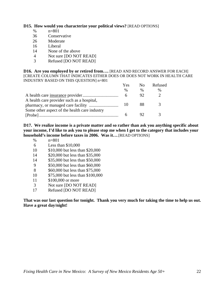## **D15. How would you characterize your political views?** [READ OPTIONS]

- % n=801
- 36 Conservative
- 26 Moderate
- 16 Liberal
- 14 None of the above
- 4 Not sure [DO NOT READ]
- 3 Refused [DO NOT READ]

**D16. Are you employed by or retired from….** [READ AND RECORD ANSWER FOR EACH] [CREATE COLUMN THAT INDICATES EITHER DOES OR DOES NOT WORK IN HEALTH CARE INDUSTRY BASED ON THIS QUESTION] n=801

|                                               | Yes. | - No          | Refused |  |
|-----------------------------------------------|------|---------------|---------|--|
|                                               | $\%$ | $\frac{0}{0}$ | $\%$    |  |
|                                               |      | 92            |         |  |
| A health care provider such as a hospital,    | 10   |               |         |  |
| Some other aspect of the health care industry |      |               |         |  |

**D17. We realize income is a private matter and so rather than ask you anything specific about your income, I'd like to ask you to please stop me when I get to the category that includes your household's income before taxes in 2006. Was it…**.[READ OPTIONS]

- % n=801
- 6 Less than \$10,000
- 10 \$10,000 but less than \$20,000
- 14 \$20,000 but less than \$35,000
- 14 \$35,000 but less than \$50,000
- 9 \$50,000 but less than \$60,000
- 8 \$60,000 but less than \$75,000
- 10 \$75,000 but less than \$100,000
- 11 \$100,000 or more
- 3 Not sure [DO NOT READ]
- 17 Refused [DO NOT READ]

**That was our last question for tonight. Thank you very much for taking the time to help us out. Have a great day/night!**